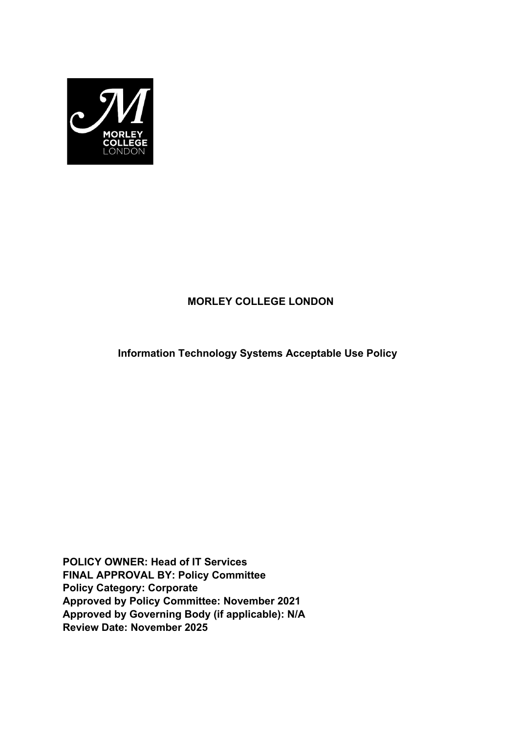

# **MORLEY COLLEGE LONDON**

**Information Technology Systems Acceptable Use Policy**

**POLICY OWNER: Head of IT Services FINAL APPROVAL BY: Policy Committee Policy Category: Corporate Approved by Policy Committee: November 2021 Approved by Governing Body (if applicable): N/A Review Date: November 2025**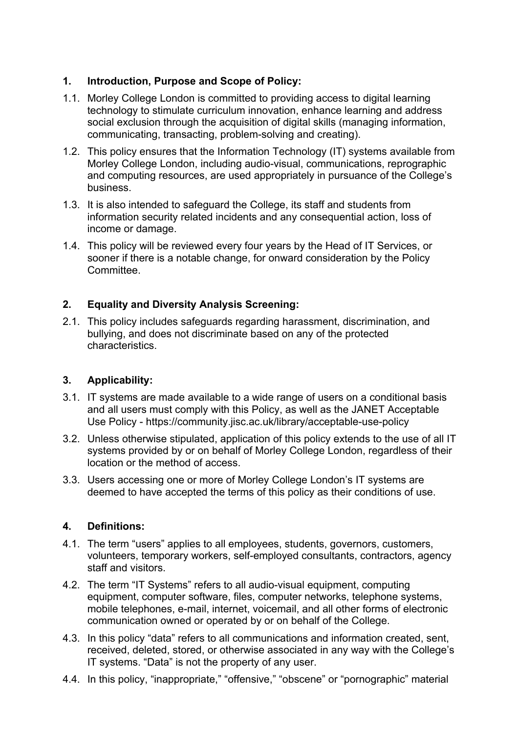# **1. Introduction, Purpose and Scope of Policy:**

- 1.1. Morley College London is committed to providing access to digital learning technology to stimulate curriculum innovation, enhance learning and address social exclusion through the acquisition of digital skills (managing information, communicating, transacting, problem-solving and creating).
- 1.2. This policy ensures that the Information Technology (IT) systems available from Morley College London, including audio-visual, communications, reprographic and computing resources, are used appropriately in pursuance of the College's business.
- 1.3. It is also intended to safeguard the College, its staff and students from information security related incidents and any consequential action, loss of income or damage.
- 1.4. This policy will be reviewed every four years by the Head of IT Services, or sooner if there is a notable change, for onward consideration by the Policy **Committee**

# **2. Equality and Diversity Analysis Screening:**

2.1. This policy includes safeguards regarding harassment, discrimination, and bullying, and does not discriminate based on any of the protected characteristics.

# **3. Applicability:**

- 3.1. IT systems are made available to a wide range of users on a conditional basis and all users must comply with this Policy, as well as the JANET Acceptable Use Policy - https://community.jisc.ac.uk/library/acceptable-use-policy
- 3.2. Unless otherwise stipulated, application of this policy extends to the use of all IT systems provided by or on behalf of Morley College London, regardless of their location or the method of access.
- 3.3. Users accessing one or more of Morley College London's IT systems are deemed to have accepted the terms of this policy as their conditions of use.

# **4. Definitions:**

- 4.1. The term "users" applies to all employees, students, governors, customers, volunteers, temporary workers, self-employed consultants, contractors, agency staff and visitors.
- 4.2. The term "IT Systems" refers to all audio-visual equipment, computing equipment, computer software, files, computer networks, telephone systems, mobile telephones, e-mail, internet, voicemail, and all other forms of electronic communication owned or operated by or on behalf of the College.
- 4.3. In this policy "data" refers to all communications and information created, sent, received, deleted, stored, or otherwise associated in any way with the College's IT systems. "Data" is not the property of any user.
- 4.4. In this policy, "inappropriate," "offensive," "obscene" or "pornographic" material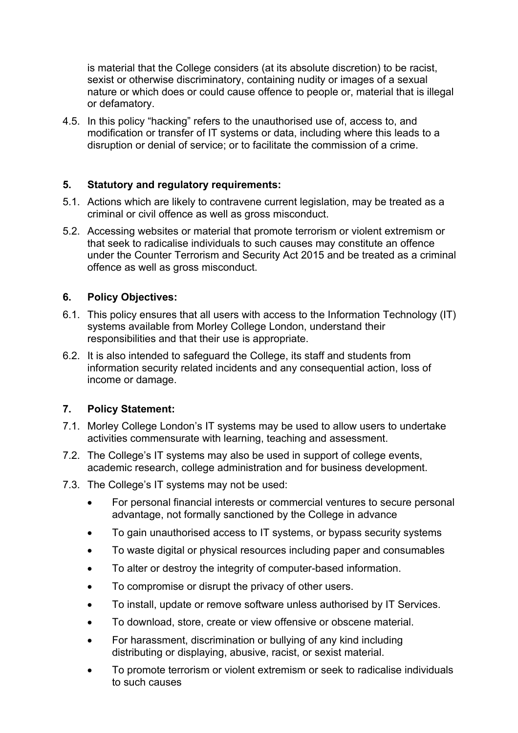is material that the College considers (at its absolute discretion) to be racist, sexist or otherwise discriminatory, containing nudity or images of a sexual nature or which does or could cause offence to people or, material that is illegal or defamatory.

4.5. In this policy "hacking" refers to the unauthorised use of, access to, and modification or transfer of IT systems or data, including where this leads to a disruption or denial of service; or to facilitate the commission of a crime.

### **5. Statutory and regulatory requirements:**

- 5.1. Actions which are likely to contravene current legislation, may be treated as a criminal or civil offence as well as gross misconduct.
- 5.2. Accessing websites or material that promote terrorism or violent extremism or that seek to radicalise individuals to such causes may constitute an offence under the Counter Terrorism and Security Act 2015 and be treated as a criminal offence as well as gross misconduct.

### **6. Policy Objectives:**

- 6.1. This policy ensures that all users with access to the Information Technology (IT) systems available from Morley College London, understand their responsibilities and that their use is appropriate.
- 6.2. It is also intended to safeguard the College, its staff and students from information security related incidents and any consequential action, loss of income or damage.

#### **7. Policy Statement:**

- 7.1. Morley College London's IT systems may be used to allow users to undertake activities commensurate with learning, teaching and assessment.
- 7.2. The College's IT systems may also be used in support of college events, academic research, college administration and for business development.
- 7.3. The College's IT systems may not be used:
	- For personal financial interests or commercial ventures to secure personal advantage, not formally sanctioned by the College in advance
	- To gain unauthorised access to IT systems, or bypass security systems
	- To waste digital or physical resources including paper and consumables
	- To alter or destroy the integrity of computer-based information.
	- To compromise or disrupt the privacy of other users.
	- To install, update or remove software unless authorised by IT Services.
	- To download, store, create or view offensive or obscene material.
	- For harassment, discrimination or bullying of any kind including distributing or displaying, abusive, racist, or sexist material.
	- To promote terrorism or violent extremism or seek to radicalise individuals to such causes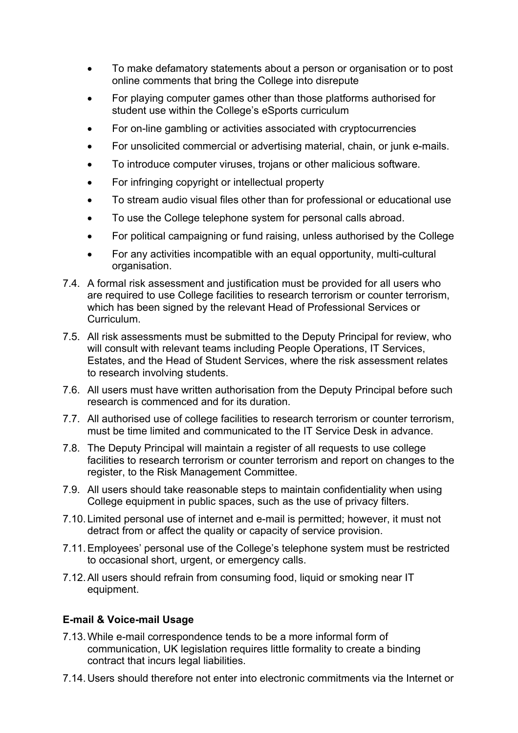- To make defamatory statements about a person or organisation or to post online comments that bring the College into disrepute
- For playing computer games other than those platforms authorised for student use within the College's eSports curriculum
- For on-line gambling or activities associated with cryptocurrencies
- For unsolicited commercial or advertising material, chain, or junk e-mails.
- To introduce computer viruses, trojans or other malicious software.
- For infringing copyright or intellectual property
- To stream audio visual files other than for professional or educational use
- To use the College telephone system for personal calls abroad.
- For political campaigning or fund raising, unless authorised by the College
- For any activities incompatible with an equal opportunity, multi-cultural organisation.
- 7.4. A formal risk assessment and justification must be provided for all users who are required to use College facilities to research terrorism or counter terrorism, which has been signed by the relevant Head of Professional Services or Curriculum.
- 7.5. All risk assessments must be submitted to the Deputy Principal for review, who will consult with relevant teams including People Operations, IT Services, Estates, and the Head of Student Services, where the risk assessment relates to research involving students.
- 7.6. All users must have written authorisation from the Deputy Principal before such research is commenced and for its duration.
- 7.7. All authorised use of college facilities to research terrorism or counter terrorism, must be time limited and communicated to the IT Service Desk in advance.
- 7.8. The Deputy Principal will maintain a register of all requests to use college facilities to research terrorism or counter terrorism and report on changes to the register, to the Risk Management Committee.
- 7.9. All users should take reasonable steps to maintain confidentiality when using College equipment in public spaces, such as the use of privacy filters.
- 7.10.Limited personal use of internet and e-mail is permitted; however, it must not detract from or affect the quality or capacity of service provision.
- 7.11.Employees' personal use of the College's telephone system must be restricted to occasional short, urgent, or emergency calls.
- 7.12.All users should refrain from consuming food, liquid or smoking near IT equipment.

# **E-mail & Voice-mail Usage**

- 7.13.While e-mail correspondence tends to be a more informal form of communication, UK legislation requires little formality to create a binding contract that incurs legal liabilities.
- 7.14.Users should therefore not enter into electronic commitments via the Internet or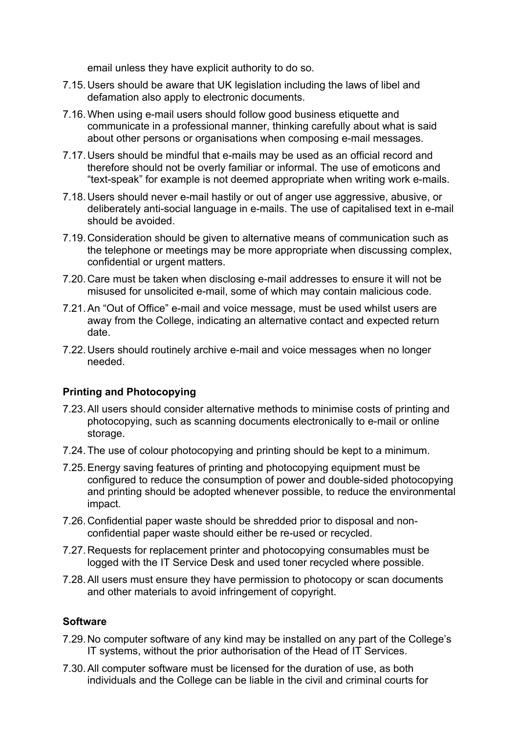email unless they have explicit authority to do so.

- 7.15.Users should be aware that UK legislation including the laws of libel and defamation also apply to electronic documents.
- 7.16.When using e-mail users should follow good business etiquette and communicate in a professional manner, thinking carefully about what is said about other persons or organisations when composing e-mail messages.
- 7.17.Users should be mindful that e-mails may be used as an official record and therefore should not be overly familiar or informal. The use of emoticons and "text-speak" for example is not deemed appropriate when writing work e-mails.
- 7.18.Users should never e-mail hastily or out of anger use aggressive, abusive, or deliberately anti-social language in e-mails. The use of capitalised text in e-mail should be avoided.
- 7.19.Consideration should be given to alternative means of communication such as the telephone or meetings may be more appropriate when discussing complex, confidential or urgent matters.
- 7.20.Care must be taken when disclosing e-mail addresses to ensure it will not be misused for unsolicited e-mail, some of which may contain malicious code.
- 7.21.An "Out of Office" e-mail and voice message, must be used whilst users are away from the College, indicating an alternative contact and expected return date.
- 7.22.Users should routinely archive e-mail and voice messages when no longer needed.

# **Printing and Photocopying**

- 7.23.All users should consider alternative methods to minimise costs of printing and photocopying, such as scanning documents electronically to e-mail or online storage.
- 7.24.The use of colour photocopying and printing should be kept to a minimum.
- 7.25.Energy saving features of printing and photocopying equipment must be configured to reduce the consumption of power and double-sided photocopying and printing should be adopted whenever possible, to reduce the environmental impact.
- 7.26.Confidential paper waste should be shredded prior to disposal and nonconfidential paper waste should either be re-used or recycled.
- 7.27.Requests for replacement printer and photocopying consumables must be logged with the IT Service Desk and used toner recycled where possible.
- 7.28.All users must ensure they have permission to photocopy or scan documents and other materials to avoid infringement of copyright.

#### **Software**

- 7.29.No computer software of any kind may be installed on any part of the College's IT systems, without the prior authorisation of the Head of IT Services.
- 7.30.All computer software must be licensed for the duration of use, as both individuals and the College can be liable in the civil and criminal courts for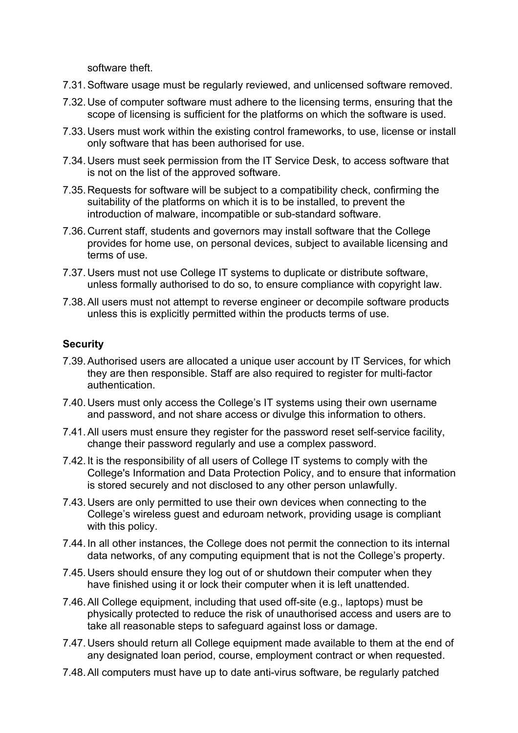software theft.

- 7.31.Software usage must be regularly reviewed, and unlicensed software removed.
- 7.32.Use of computer software must adhere to the licensing terms, ensuring that the scope of licensing is sufficient for the platforms on which the software is used.
- 7.33.Users must work within the existing control frameworks, to use, license or install only software that has been authorised for use.
- 7.34.Users must seek permission from the IT Service Desk, to access software that is not on the list of the approved software.
- 7.35.Requests for software will be subject to a compatibility check, confirming the suitability of the platforms on which it is to be installed, to prevent the introduction of malware, incompatible or sub-standard software.
- 7.36.Current staff, students and governors may install software that the College provides for home use, on personal devices, subject to available licensing and terms of use.
- 7.37.Users must not use College IT systems to duplicate or distribute software, unless formally authorised to do so, to ensure compliance with copyright law.
- 7.38.All users must not attempt to reverse engineer or decompile software products unless this is explicitly permitted within the products terms of use.

# **Security**

- 7.39.Authorised users are allocated a unique user account by IT Services, for which they are then responsible. Staff are also required to register for multi-factor authentication.
- 7.40.Users must only access the College's IT systems using their own username and password, and not share access or divulge this information to others.
- 7.41.All users must ensure they register for the password reset self-service facility, change their password regularly and use a complex password.
- 7.42.It is the responsibility of all users of College IT systems to comply with the College's Information and Data Protection Policy, and to ensure that information is stored securely and not disclosed to any other person unlawfully.
- 7.43.Users are only permitted to use their own devices when connecting to the College's wireless guest and eduroam network, providing usage is compliant with this policy.
- 7.44.In all other instances, the College does not permit the connection to its internal data networks, of any computing equipment that is not the College's property.
- 7.45.Users should ensure they log out of or shutdown their computer when they have finished using it or lock their computer when it is left unattended.
- 7.46.All College equipment, including that used off-site (e.g., laptops) must be physically protected to reduce the risk of unauthorised access and users are to take all reasonable steps to safeguard against loss or damage.
- 7.47.Users should return all College equipment made available to them at the end of any designated loan period, course, employment contract or when requested.
- 7.48.All computers must have up to date anti-virus software, be regularly patched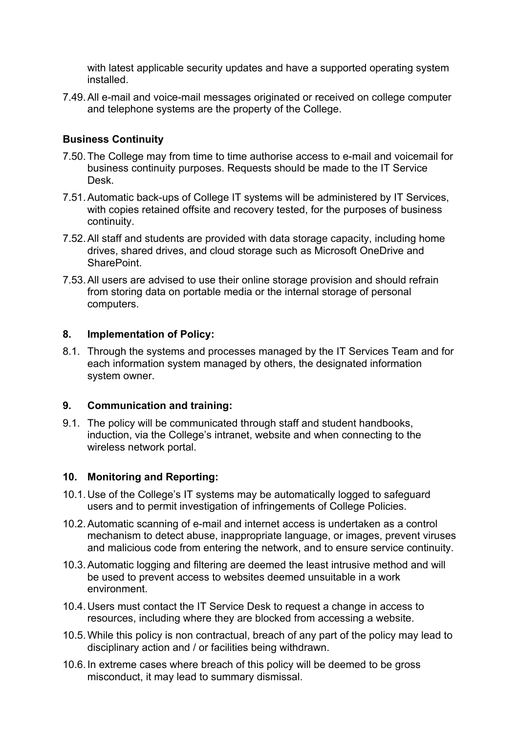with latest applicable security updates and have a supported operating system installed.

7.49.All e-mail and voice-mail messages originated or received on college computer and telephone systems are the property of the College.

### **Business Continuity**

- 7.50.The College may from time to time authorise access to e-mail and voicemail for business continuity purposes. Requests should be made to the IT Service Desk.
- 7.51.Automatic back-ups of College IT systems will be administered by IT Services, with copies retained offsite and recovery tested, for the purposes of business continuity.
- 7.52.All staff and students are provided with data storage capacity, including home drives, shared drives, and cloud storage such as Microsoft OneDrive and SharePoint.
- 7.53.All users are advised to use their online storage provision and should refrain from storing data on portable media or the internal storage of personal computers.

#### **8. Implementation of Policy:**

8.1. Through the systems and processes managed by the IT Services Team and for each information system managed by others, the designated information system owner.

#### **9. Communication and training:**

9.1. The policy will be communicated through staff and student handbooks, induction, via the College's intranet, website and when connecting to the wireless network portal.

#### **10. Monitoring and Reporting:**

- 10.1.Use of the College's IT systems may be automatically logged to safeguard users and to permit investigation of infringements of College Policies.
- 10.2.Automatic scanning of e-mail and internet access is undertaken as a control mechanism to detect abuse, inappropriate language, or images, prevent viruses and malicious code from entering the network, and to ensure service continuity.
- 10.3.Automatic logging and filtering are deemed the least intrusive method and will be used to prevent access to websites deemed unsuitable in a work environment.
- 10.4.Users must contact the IT Service Desk to request a change in access to resources, including where they are blocked from accessing a website.
- 10.5.While this policy is non contractual, breach of any part of the policy may lead to disciplinary action and / or facilities being withdrawn.
- 10.6.In extreme cases where breach of this policy will be deemed to be gross misconduct, it may lead to summary dismissal.